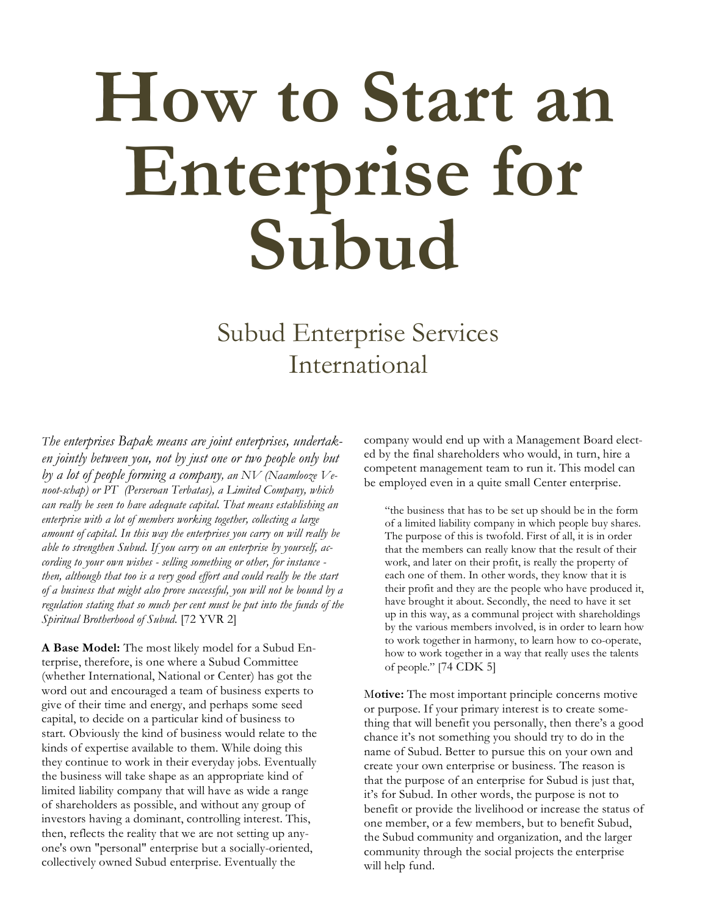# **How to Start an Enterprise for Subud**

# Subud Enterprise Services International

*The enterprises Bapak means are joint enterprises, undertaken jointly between you, not by just one or two people only but by a lot of people forming a company, an NV (Naamlooze Venoot-schap) or PT (Perseroan Terbatas), a Limited Company, which can really be seen to have adequate capital. That means establishing an enterprise with a lot of members working together, collecting a large amount of capital. In this way the enterprises you carry on will really be able to strengthen Subud. If you carry on an enterprise by yourself, according to your own wishes - selling something or other, for instance then, although that too is a very good effort and could really be the start of a business that might also prove successful, you will not be bound by a regulation stating that so much per cent must be put into the funds of the Spiritual Brotherhood of Subud.* [72 YVR 2]

**A Base Model:** The most likely model for a Subud Enterprise, therefore, is one where a Subud Committee (whether International, National or Center) has got the word out and encouraged a team of business experts to give of their time and energy, and perhaps some seed capital, to decide on a particular kind of business to start. Obviously the kind of business would relate to the kinds of expertise available to them. While doing this they continue to work in their everyday jobs. Eventually the business will take shape as an appropriate kind of limited liability company that will have as wide a range of shareholders as possible, and without any group of investors having a dominant, controlling interest. This, then, reflects the reality that we are not setting up anyone's own "personal" enterprise but a socially-oriented, collectively owned Subud enterprise. Eventually the

company would end up with a Management Board elected by the final shareholders who would, in turn, hire a competent management team to run it. This model can be employed even in a quite small Center enterprise.

"the business that has to be set up should be in the form of a limited liability company in which people buy shares. The purpose of this is twofold. First of all, it is in order that the members can really know that the result of their work, and later on their profit, is really the property of each one of them. In other words, they know that it is their profit and they are the people who have produced it, have brought it about. Secondly, the need to have it set up in this way, as a communal project with shareholdings by the various members involved, is in order to learn how to work together in harmony, to learn how to co-operate, how to work together in a way that really uses the talents of people." [74 CDK 5]

M**otive:** The most important principle concerns motive or purpose. If your primary interest is to create something that will benefit you personally, then there's a good chance it's not something you should try to do in the name of Subud. Better to pursue this on your own and create your own enterprise or business. The reason is that the purpose of an enterprise for Subud is just that, it's for Subud. In other words, the purpose is not to benefit or provide the livelihood or increase the status of one member, or a few members, but to benefit Subud, the Subud community and organization, and the larger community through the social projects the enterprise will help fund.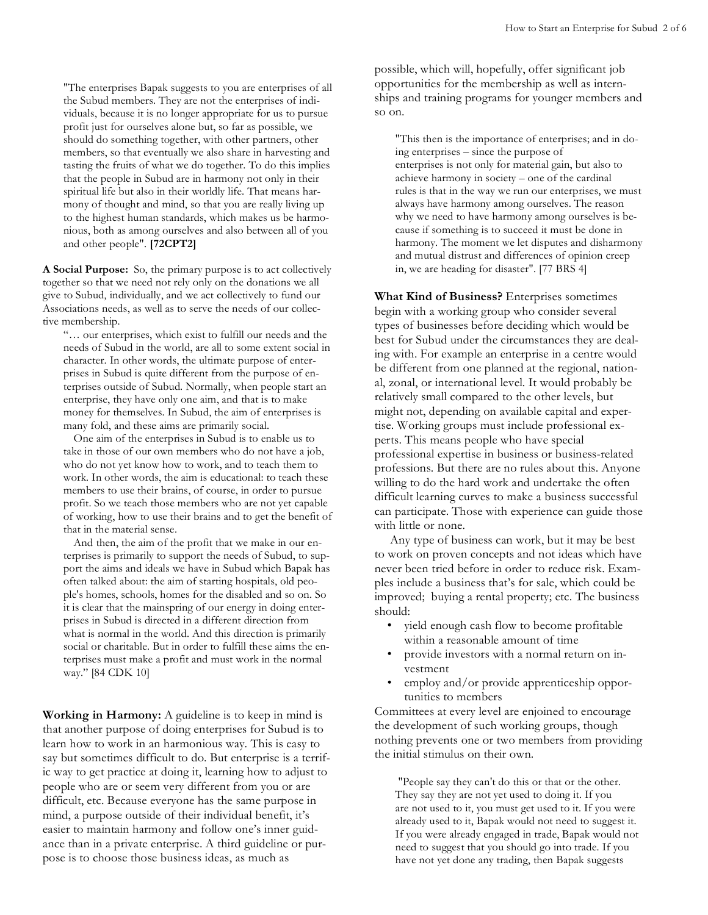"The enterprises Bapak suggests to you are enterprises of all the Subud members. They are not the enterprises of individuals, because it is no longer appropriate for us to pursue profit just for ourselves alone but, so far as possible, we should do something together, with other partners, other members, so that eventually we also share in harvesting and tasting the fruits of what we do together. To do this implies that the people in Subud are in harmony not only in their spiritual life but also in their worldly life. That means harmony of thought and mind, so that you are really living up to the highest human standards, which makes us be harmonious, both as among ourselves and also between all of you and other people". **[72CPT2]**

**A Social Purpose:** So, the primary purpose is to act collectively together so that we need not rely only on the donations we all give to Subud, individually, and we act collectively to fund our Associations needs, as well as to serve the needs of our collective membership.

"… our enterprises, which exist to fulfill our needs and the needs of Subud in the world, are all to some extent social in character. In other words, the ultimate purpose of enterprises in Subud is quite different from the purpose of enterprises outside of Subud. Normally, when people start an enterprise, they have only one aim, and that is to make money for themselves. In Subud, the aim of enterprises is many fold, and these aims are primarily social.

One aim of the enterprises in Subud is to enable us to take in those of our own members who do not have a job, who do not yet know how to work, and to teach them to work. In other words, the aim is educational: to teach these members to use their brains, of course, in order to pursue profit. So we teach those members who are not yet capable of working, how to use their brains and to get the benefit of that in the material sense.

And then, the aim of the profit that we make in our enterprises is primarily to support the needs of Subud, to support the aims and ideals we have in Subud which Bapak has often talked about: the aim of starting hospitals, old people's homes, schools, homes for the disabled and so on. So it is clear that the mainspring of our energy in doing enterprises in Subud is directed in a different direction from what is normal in the world. And this direction is primarily social or charitable. But in order to fulfill these aims the enterprises must make a profit and must work in the normal way." [84 CDK 10]

**Working in Harmony:** A guideline is to keep in mind is that another purpose of doing enterprises for Subud is to learn how to work in an harmonious way. This is easy to say but sometimes difficult to do. But enterprise is a terrific way to get practice at doing it, learning how to adjust to people who are or seem very different from you or are difficult, etc. Because everyone has the same purpose in mind, a purpose outside of their individual benefit, it's easier to maintain harmony and follow one's inner guidance than in a private enterprise. A third guideline or purpose is to choose those business ideas, as much as

possible, which will, hopefully, offer significant job opportunities for the membership as well as internships and training programs for younger members and so on.

"This then is the importance of enterprises; and in doing enterprises – since the purpose of enterprises is not only for material gain, but also to achieve harmony in society – one of the cardinal rules is that in the way we run our enterprises, we must always have harmony among ourselves. The reason why we need to have harmony among ourselves is because if something is to succeed it must be done in harmony. The moment we let disputes and disharmony and mutual distrust and differences of opinion creep in, we are heading for disaster". [77 BRS 4]

**What Kind of Business?** Enterprises sometimes begin with a working group who consider several types of businesses before deciding which would be best for Subud under the circumstances they are dealing with. For example an enterprise in a centre would be different from one planned at the regional, national, zonal, or international level. It would probably be relatively small compared to the other levels, but might not, depending on available capital and expertise. Working groups must include professional experts. This means people who have special professional expertise in business or business-related professions. But there are no rules about this. Anyone willing to do the hard work and undertake the often difficult learning curves to make a business successful can participate. Those with experience can guide those with little or none.

Any type of business can work, but it may be best to work on proven concepts and not ideas which have never been tried before in order to reduce risk. Examples include a business that's for sale, which could be improved; buying a rental property; etc. The business should:

- yield enough cash flow to become profitable within a reasonable amount of time
- provide investors with a normal return on investment
- employ and/or provide apprenticeship opportunities to members

Committees at every level are enjoined to encourage the development of such working groups, though nothing prevents one or two members from providing the initial stimulus on their own.

"People say they can't do this or that or the other. They say they are not yet used to doing it. If you are not used to it, you must get used to it. If you were already used to it, Bapak would not need to suggest it. If you were already engaged in trade, Bapak would not need to suggest that you should go into trade. If you have not yet done any trading, then Bapak suggests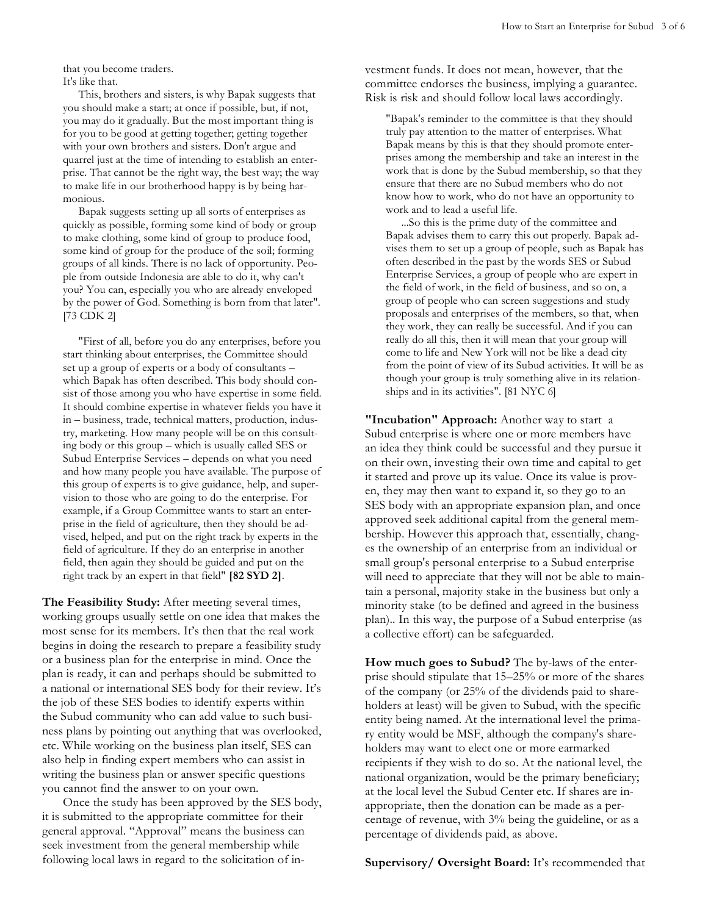that you become traders.

It's like that.

This, brothers and sisters, is why Bapak suggests that you should make a start; at once if possible, but, if not, you may do it gradually. But the most important thing is for you to be good at getting together; getting together with your own brothers and sisters. Don't argue and quarrel just at the time of intending to establish an enterprise. That cannot be the right way, the best way; the way to make life in our brotherhood happy is by being harmonious.

Bapak suggests setting up all sorts of enterprises as quickly as possible, forming some kind of body or group to make clothing, some kind of group to produce food, some kind of group for the produce of the soil; forming groups of all kinds. There is no lack of opportunity. People from outside Indonesia are able to do it, why can't you? You can, especially you who are already enveloped by the power of God. Something is born from that later". [73 CDK 2]

"First of all, before you do any enterprises, before you start thinking about enterprises, the Committee should set up a group of experts or a body of consultants – which Bapak has often described. This body should consist of those among you who have expertise in some field. It should combine expertise in whatever fields you have it in – business, trade, technical matters, production, industry, marketing. How many people will be on this consulting body or this group – which is usually called SES or Subud Enterprise Services – depends on what you need and how many people you have available. The purpose of this group of experts is to give guidance, help, and supervision to those who are going to do the enterprise. For example, if a Group Committee wants to start an enterprise in the field of agriculture, then they should be advised, helped, and put on the right track by experts in the field of agriculture. If they do an enterprise in another field, then again they should be guided and put on the right track by an expert in that field" **[82 SYD 2]**.

**The Feasibility Study:** After meeting several times, working groups usually settle on one idea that makes the most sense for its members. It's then that the real work begins in doing the research to prepare a feasibility study or a business plan for the enterprise in mind. Once the plan is ready, it can and perhaps should be submitted to a national or international SES body for their review. It's the job of these SES bodies to identify experts within the Subud community who can add value to such business plans by pointing out anything that was overlooked, etc. While working on the business plan itself, SES can also help in finding expert members who can assist in writing the business plan or answer specific questions you cannot find the answer to on your own.

Once the study has been approved by the SES body, it is submitted to the appropriate committee for their general approval. "Approval" means the business can seek investment from the general membership while following local laws in regard to the solicitation of investment funds. It does not mean, however, that the committee endorses the business, implying a guarantee. Risk is risk and should follow local laws accordingly.

"Bapak's reminder to the committee is that they should truly pay attention to the matter of enterprises. What Bapak means by this is that they should promote enterprises among the membership and take an interest in the work that is done by the Subud membership, so that they ensure that there are no Subud members who do not know how to work, who do not have an opportunity to work and to lead a useful life.

...So this is the prime duty of the committee and Bapak advises them to carry this out properly. Bapak advises them to set up a group of people, such as Bapak has often described in the past by the words SES or Subud Enterprise Services, a group of people who are expert in the field of work, in the field of business, and so on, a group of people who can screen suggestions and study proposals and enterprises of the members, so that, when they work, they can really be successful. And if you can really do all this, then it will mean that your group will come to life and New York will not be like a dead city from the point of view of its Subud activities. It will be as though your group is truly something alive in its relationships and in its activities". [81 NYC 6]

**"Incubation" Approach:** Another way to start a Subud enterprise is where one or more members have an idea they think could be successful and they pursue it on their own, investing their own time and capital to get it started and prove up its value. Once its value is proven, they may then want to expand it, so they go to an SES body with an appropriate expansion plan, and once approved seek additional capital from the general membership. However this approach that, essentially, changes the ownership of an enterprise from an individual or small group's personal enterprise to a Subud enterprise will need to appreciate that they will not be able to maintain a personal, majority stake in the business but only a minority stake (to be defined and agreed in the business plan).. In this way, the purpose of a Subud enterprise (as a collective effort) can be safeguarded.

**How much goes to Subud?** The by-laws of the enterprise should stipulate that 15–25% or more of the shares of the company (or 25% of the dividends paid to shareholders at least) will be given to Subud, with the specific entity being named. At the international level the primary entity would be MSF, although the company's shareholders may want to elect one or more earmarked recipients if they wish to do so. At the national level, the national organization, would be the primary beneficiary; at the local level the Subud Center etc. If shares are inappropriate, then the donation can be made as a percentage of revenue, with 3% being the guideline, or as a percentage of dividends paid, as above.

**Supervisory/ Oversight Board:** It's recommended that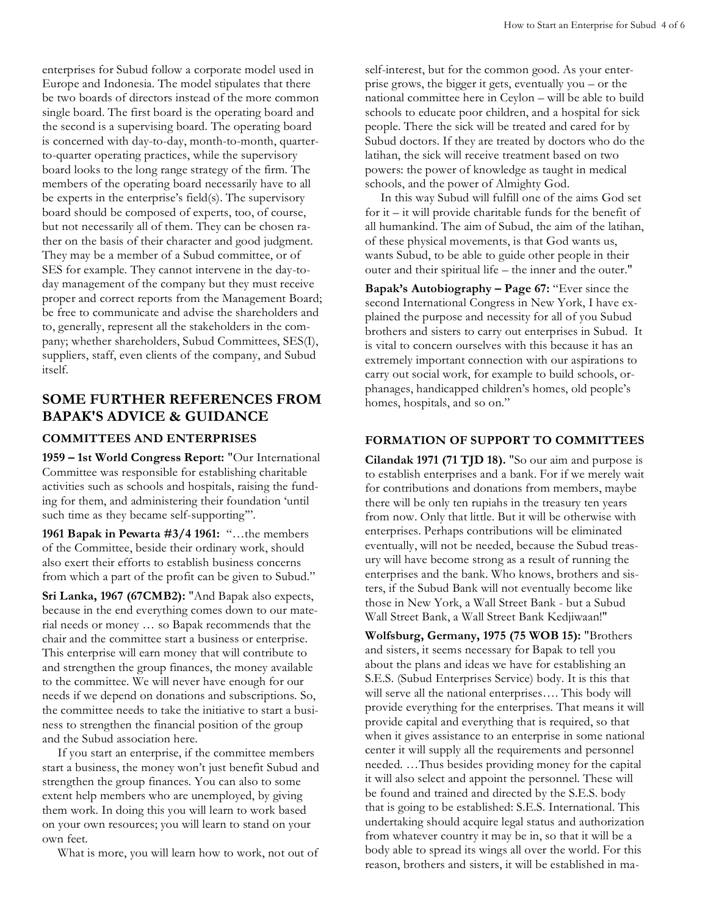enterprises for Subud follow a corporate model used in Europe and Indonesia. The model stipulates that there be two boards of directors instead of the more common single board. The first board is the operating board and the second is a supervising board. The operating board is concerned with day-to-day, month-to-month, quarterto-quarter operating practices, while the supervisory board looks to the long range strategy of the firm. The members of the operating board necessarily have to all be experts in the enterprise's field(s). The supervisory board should be composed of experts, too, of course, but not necessarily all of them. They can be chosen rather on the basis of their character and good judgment. They may be a member of a Subud committee, or of SES for example. They cannot intervene in the day-today management of the company but they must receive proper and correct reports from the Management Board; be free to communicate and advise the shareholders and to, generally, represent all the stakeholders in the company; whether shareholders, Subud Committees, SES(I), suppliers, staff, even clients of the company, and Subud itself.

# **SOME FURTHER REFERENCES FROM BAPAK'S ADVICE & GUIDANCE**

#### **COMMITTEES AND ENTERPRISES**

**1959 – 1st World Congress Report:** "Our International Committee was responsible for establishing charitable activities such as schools and hospitals, raising the funding for them, and administering their foundation 'until such time as they became self-supporting'".

**1961 Bapak in Pewarta #3/4 1961:** "…the members of the Committee, beside their ordinary work, should also exert their efforts to establish business concerns from which a part of the profit can be given to Subud."

**Sri Lanka, 1967 (67CMB2):** "And Bapak also expects, because in the end everything comes down to our material needs or money … so Bapak recommends that the chair and the committee start a business or enterprise. This enterprise will earn money that will contribute to and strengthen the group finances, the money available to the committee. We will never have enough for our needs if we depend on donations and subscriptions. So, the committee needs to take the initiative to start a business to strengthen the financial position of the group and the Subud association here.

If you start an enterprise, if the committee members start a business, the money won't just benefit Subud and strengthen the group finances. You can also to some extent help members who are unemployed, by giving them work. In doing this you will learn to work based on your own resources; you will learn to stand on your own feet.

What is more, you will learn how to work, not out of

self-interest, but for the common good. As your enterprise grows, the bigger it gets, eventually you – or the national committee here in Ceylon – will be able to build schools to educate poor children, and a hospital for sick people. There the sick will be treated and cared for by Subud doctors. If they are treated by doctors who do the latihan, the sick will receive treatment based on two powers: the power of knowledge as taught in medical schools, and the power of Almighty God.

In this way Subud will fulfill one of the aims God set for it – it will provide charitable funds for the benefit of all humankind. The aim of Subud, the aim of the latihan, of these physical movements, is that God wants us, wants Subud, to be able to guide other people in their outer and their spiritual life – the inner and the outer."

**Bapak's Autobiography – Page 67:** "Ever since the second International Congress in New York, I have explained the purpose and necessity for all of you Subud brothers and sisters to carry out enterprises in Subud. It is vital to concern ourselves with this because it has an extremely important connection with our aspirations to carry out social work, for example to build schools, orphanages, handicapped children's homes, old people's homes, hospitals, and so on."

### **FORMATION OF SUPPORT TO COMMITTEES**

**Cilandak 1971 (71 TJD 18).** "So our aim and purpose is to establish enterprises and a bank. For if we merely wait for contributions and donations from members, maybe there will be only ten rupiahs in the treasury ten years from now. Only that little. But it will be otherwise with enterprises. Perhaps contributions will be eliminated eventually, will not be needed, because the Subud treasury will have become strong as a result of running the enterprises and the bank. Who knows, brothers and sisters, if the Subud Bank will not eventually become like those in New York, a Wall Street Bank - but a Subud Wall Street Bank, a Wall Street Bank Kedjiwaan!"

**Wolfsburg, Germany, 1975 (75 WOB 15):** "Brothers and sisters, it seems necessary for Bapak to tell you about the plans and ideas we have for establishing an S.E.S. (Subud Enterprises Service) body. It is this that will serve all the national enterprises…. This body will provide everything for the enterprises. That means it will provide capital and everything that is required, so that when it gives assistance to an enterprise in some national center it will supply all the requirements and personnel needed. …Thus besides providing money for the capital it will also select and appoint the personnel. These will be found and trained and directed by the S.E.S. body that is going to be established: S.E.S. International. This undertaking should acquire legal status and authorization from whatever country it may be in, so that it will be a body able to spread its wings all over the world. For this reason, brothers and sisters, it will be established in ma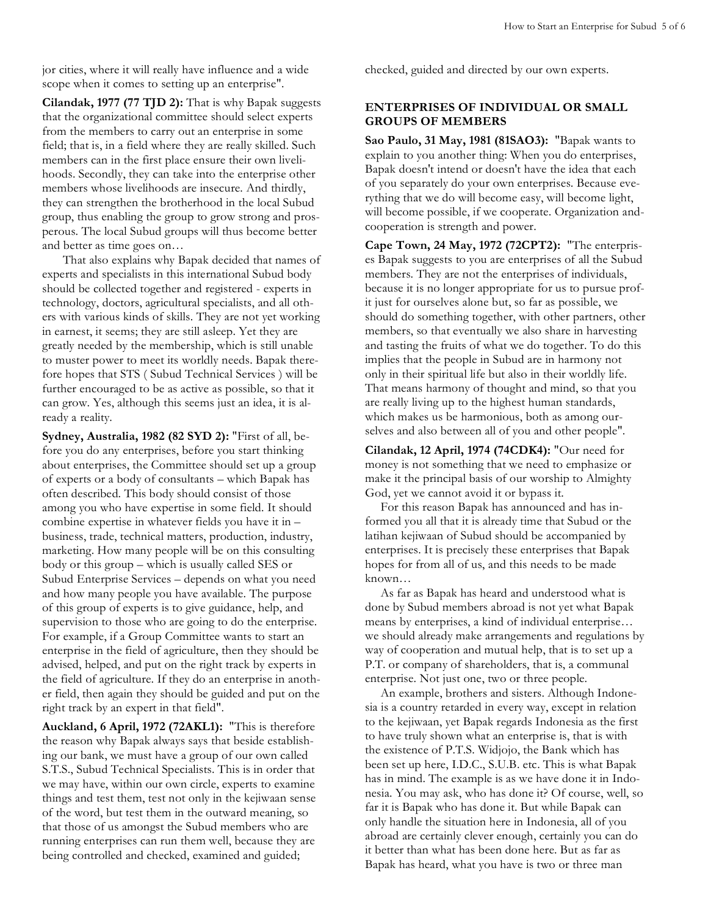jor cities, where it will really have influence and a wide scope when it comes to setting up an enterprise".

**Cilandak, 1977 (77 TJD 2):** That is why Bapak suggests that the organizational committee should select experts from the members to carry out an enterprise in some field; that is, in a field where they are really skilled. Such members can in the first place ensure their own livelihoods. Secondly, they can take into the enterprise other members whose livelihoods are insecure. And thirdly, they can strengthen the brotherhood in the local Subud group, thus enabling the group to grow strong and prosperous. The local Subud groups will thus become better and better as time goes on…

That also explains why Bapak decided that names of experts and specialists in this international Subud body should be collected together and registered - experts in technology, doctors, agricultural specialists, and all others with various kinds of skills. They are not yet working in earnest, it seems; they are still asleep. Yet they are greatly needed by the membership, which is still unable to muster power to meet its worldly needs. Bapak therefore hopes that STS ( Subud Technical Services ) will be further encouraged to be as active as possible, so that it can grow. Yes, although this seems just an idea, it is already a reality.

**Sydney, Australia, 1982 (82 SYD 2):** "First of all, before you do any enterprises, before you start thinking about enterprises, the Committee should set up a group of experts or a body of consultants – which Bapak has often described. This body should consist of those among you who have expertise in some field. It should combine expertise in whatever fields you have it in – business, trade, technical matters, production, industry, marketing. How many people will be on this consulting body or this group – which is usually called SES or Subud Enterprise Services – depends on what you need and how many people you have available. The purpose of this group of experts is to give guidance, help, and supervision to those who are going to do the enterprise. For example, if a Group Committee wants to start an enterprise in the field of agriculture, then they should be advised, helped, and put on the right track by experts in the field of agriculture. If they do an enterprise in another field, then again they should be guided and put on the right track by an expert in that field".

**Auckland, 6 April, 1972 (72AKL1):** "This is therefore the reason why Bapak always says that beside establishing our bank, we must have a group of our own called S.T.S., Subud Technical Specialists. This is in order that we may have, within our own circle, experts to examine things and test them, test not only in the kejiwaan sense of the word, but test them in the outward meaning, so that those of us amongst the Subud members who are running enterprises can run them well, because they are being controlled and checked, examined and guided;

checked, guided and directed by our own experts.

## **ENTERPRISES OF INDIVIDUAL OR SMALL GROUPS OF MEMBERS**

**Sao Paulo, 31 May, 1981 (81SAO3):** "Bapak wants to explain to you another thing: When you do enterprises, Bapak doesn't intend or doesn't have the idea that each of you separately do your own enterprises. Because everything that we do will become easy, will become light, will become possible, if we cooperate. Organization andcooperation is strength and power.

**Cape Town, 24 May, 1972 (72CPT2):** "The enterprises Bapak suggests to you are enterprises of all the Subud members. They are not the enterprises of individuals, because it is no longer appropriate for us to pursue profit just for ourselves alone but, so far as possible, we should do something together, with other partners, other members, so that eventually we also share in harvesting and tasting the fruits of what we do together. To do this implies that the people in Subud are in harmony not only in their spiritual life but also in their worldly life. That means harmony of thought and mind, so that you are really living up to the highest human standards, which makes us be harmonious, both as among ourselves and also between all of you and other people".

**Cilandak, 12 April, 1974 (74CDK4):** "Our need for money is not something that we need to emphasize or make it the principal basis of our worship to Almighty God, yet we cannot avoid it or bypass it.

For this reason Bapak has announced and has informed you all that it is already time that Subud or the latihan kejiwaan of Subud should be accompanied by enterprises. It is precisely these enterprises that Bapak hopes for from all of us, and this needs to be made known…

As far as Bapak has heard and understood what is done by Subud members abroad is not yet what Bapak means by enterprises, a kind of individual enterprise… we should already make arrangements and regulations by way of cooperation and mutual help, that is to set up a P.T. or company of shareholders, that is, a communal enterprise. Not just one, two or three people.

An example, brothers and sisters. Although Indonesia is a country retarded in every way, except in relation to the kejiwaan, yet Bapak regards Indonesia as the first to have truly shown what an enterprise is, that is with the existence of P.T.S. Widjojo, the Bank which has been set up here, I.D.C., S.U.B. etc. This is what Bapak has in mind. The example is as we have done it in Indonesia. You may ask, who has done it? Of course, well, so far it is Bapak who has done it. But while Bapak can only handle the situation here in Indonesia, all of you abroad are certainly clever enough, certainly you can do it better than what has been done here. But as far as Bapak has heard, what you have is two or three man